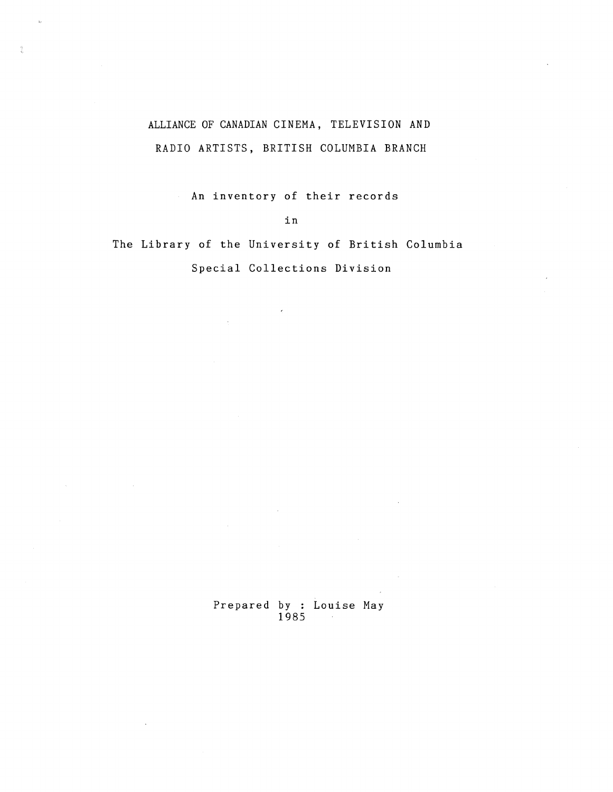# ALLIANCE OF CANADIAN CINEMA, TELEVISION AND RADIO ARTISTS, BRITISH COLUMBIA BRANCH

An inventory of their records

i n

The Library of the University of British Columbia

Special Collections Division

Prepared by : Louise May 1985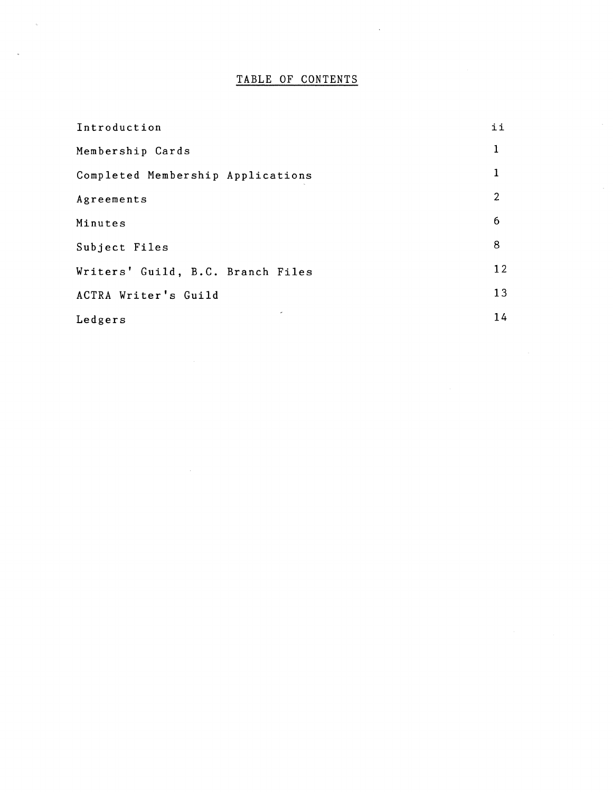## TABLE OF CONTENTS

| Introduction                      | ii             |
|-----------------------------------|----------------|
| Membership Cards                  | 1              |
| Completed Membership Applications | 1              |
| Agreements                        | $\overline{2}$ |
| Minutes                           | 6              |
| Subject Files                     | 8              |
| Writers' Guild, B.C. Branch Files | 12             |
| ACTRA Writer's Guild              | 13             |
| Ledgers                           | 14             |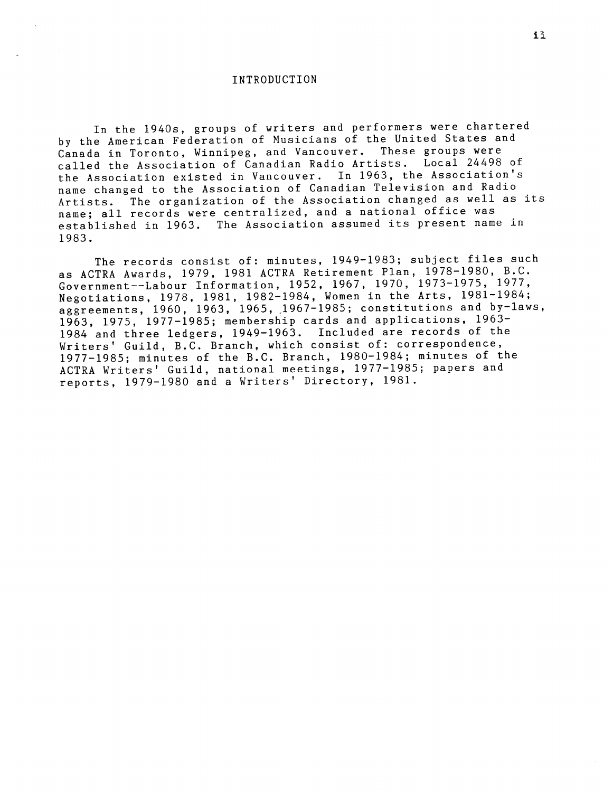#### INTRODUCTIO N

In the 1940s, groups of writers and performers were chartered by the American Federation of Musicians of the United States and<br>Canada in Toronto, Winnines, and Vancouver, These groups were Canada in Toronto, Winnipeg, and Vancouver. called the Association of Canadian Radio Artists. Local 24498 of the Association existed in Vancouver. In 1963, the Association's name changed to the Association of Canadian Television and Radio Artists. The organization of the Association changed as well as its name; all records were centralized, and a national office was established in 1963. The Association assumed its present name in 1983 .

The records consist of: minutes, 1949-1983; subject files such as ACTRA Awards, 1979, 1981 ACTRA Retirement Plan, 1978-1980, B.C. Government--Labour Information, 1952, 1967, 1970, 1973-1975, 1977 , Negotiations, 1978, 1981, 1982-1984, Women in the Arts, 1981-1984 ; aggreements,  $1960$ ,  $1963$ ,  $1965$ ,  $1967-1985$ ; constitutions and by-laws, 1963, 1975, 1977-1985; membership cards and applications, 1963-1984 and three ledgers, 1949-1963. Included are records of the Writers' Guild, B.C. Branch, which consist of: correspondence, 1977-1985; minutes of the B.C. Branch, 1980-1984; minutes of the ACTRA Writers' Guild, national meetings, 1977-1985; papers and reports, 1979-1980 and a Writers' Directory, 1981.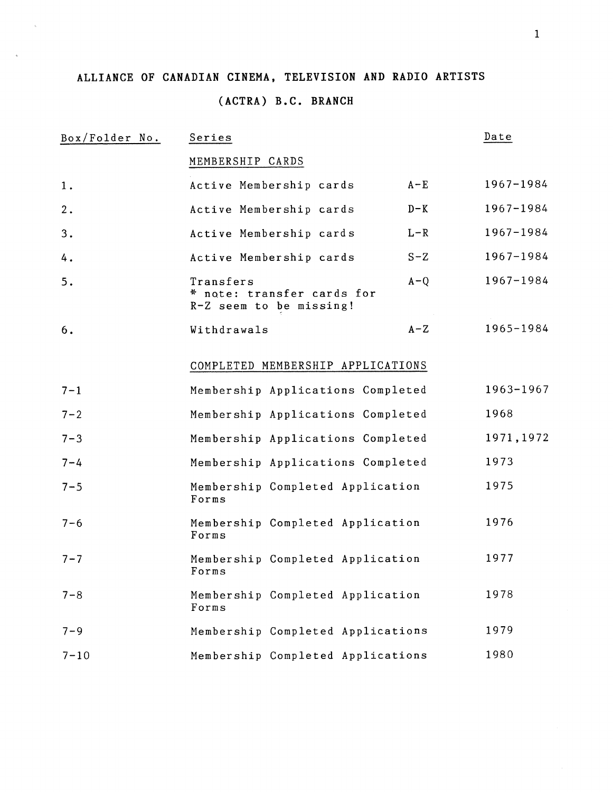## ALLIANCE OF CANADIAN CINEMA, TELEVISION AND RADIO ARTISTS

# **(ACTRA) B .C . BRANCH**

| Box/Folder No. | Series                                                             |         | Date       |
|----------------|--------------------------------------------------------------------|---------|------------|
|                | MEMBERSHIP CARDS                                                   |         |            |
| 1.             | Active Membership cards                                            | $A - E$ | 1967-1984  |
| 2.             | Active Membership cards                                            | $D-K$   | 1967-1984  |
| 3.             | Active Membership cards                                            | $L - R$ | 1967-1984  |
| 4.             | Active Membership cards                                            | $S-Z$   | 1967-1984  |
| 5.             | Transfers<br>* note: transfer cards for<br>R-Z seem to be missing! | $A - Q$ | 1967-1984  |
| 6.             | Withdrawals                                                        | $A-Z$   | 1965-1984  |
|                | COMPLETED MEMBERSHIP APPLICATIONS                                  |         |            |
| $7 - 1$        | Membership Applications Completed                                  |         | 1963-1967  |
| $7 - 2$        | Membership Applications Completed                                  |         | 1968       |
| $7 - 3$        | Membership Applications Completed                                  |         | 1971, 1972 |
| $7 - 4$        | Membership Applications Completed                                  |         | 1973       |
| $7 - 5$        | Membership Completed Application<br>Forms                          |         | 1975       |
| $7 - 6$        | Membership Completed Application<br>Forms                          |         | 1976       |
| $7 - 7$        | Membership Completed Application<br>Forms                          |         | 1977       |
| $7 - 8$        | Membership Completed Application<br>Forms                          |         | 1978       |
| $7 - 9$        | Membership Completed Applications                                  |         | 1979       |
| $7 - 10$       | Membership Completed Applications                                  |         | 1980       |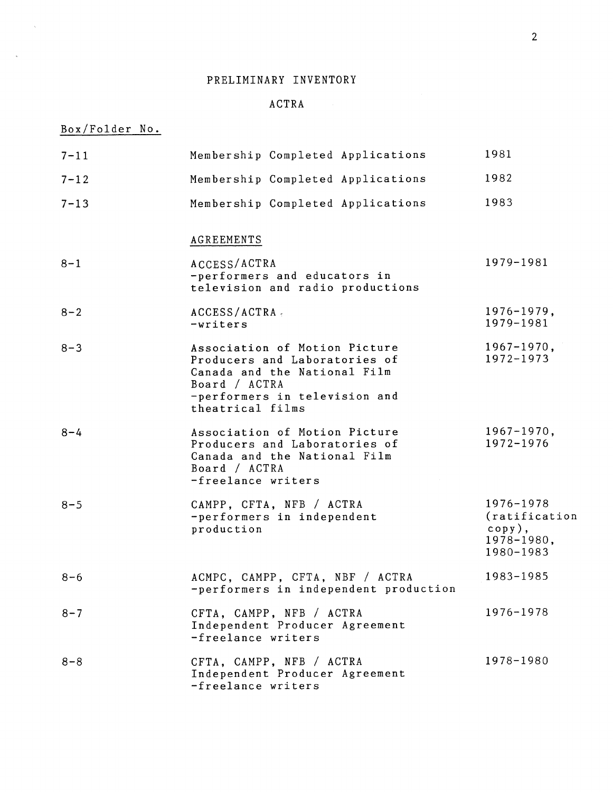## ACTR A

# Box/Folder No .

 $\mathcal{L}$ 

 $\sim$   $\omega$ 

| $7 - 11$ | Membership Completed Applications                                                                                                                                    | 1981                                                               |
|----------|----------------------------------------------------------------------------------------------------------------------------------------------------------------------|--------------------------------------------------------------------|
| $7 - 12$ | Membership Completed Applications                                                                                                                                    | 1982                                                               |
| $7 - 13$ | Membership Completed Applications                                                                                                                                    | 1983                                                               |
|          | <b>AGREEMENTS</b>                                                                                                                                                    |                                                                    |
| $8 - 1$  | ACCESS/ACTRA<br>-performers and educators in<br>television and radio productions                                                                                     | 1979-1981                                                          |
| $8 - 2$  | ACCESS/ACTRA<br>-writers                                                                                                                                             | $1976 - 1979$ ,<br>1979-1981                                       |
| $8 - 3$  | Association of Motion Picture<br>Producers and Laboratories of<br>Canada and the National Film<br>Board / ACTRA<br>-performers in television and<br>theatrical films | $1967 - 1970$ ,<br>1972-1973                                       |
| $8 - 4$  | Association of Motion Picture<br>Producers and Laboratories of<br>Canada and the National Film<br>Board / ACTRA<br>-freelance writers                                | $1967 - 1970$ ,<br>1972-1976                                       |
| $8 - 5$  | CAMPP, CFTA, NFB / ACTRA<br>-performers in independent<br>production                                                                                                 | 1976-1978<br>(ratification<br>$copy)$ ,<br>1978-1980,<br>1980-1983 |
| $8 - 6$  | ACMPC, CAMPP, CFTA, NBF / ACTRA<br>-performers in independent production                                                                                             | 1983-1985                                                          |
| $8 - 7$  | CFTA, CAMPP, NFB / ACTRA<br>Independent Producer Agreement<br>-freelance writers                                                                                     | 1976-1978                                                          |
| $8 - 8$  | CFTA, CAMPP, NFB / ACTRA<br>Independent Producer Agreement<br>-freelance writers                                                                                     | 1978-1980                                                          |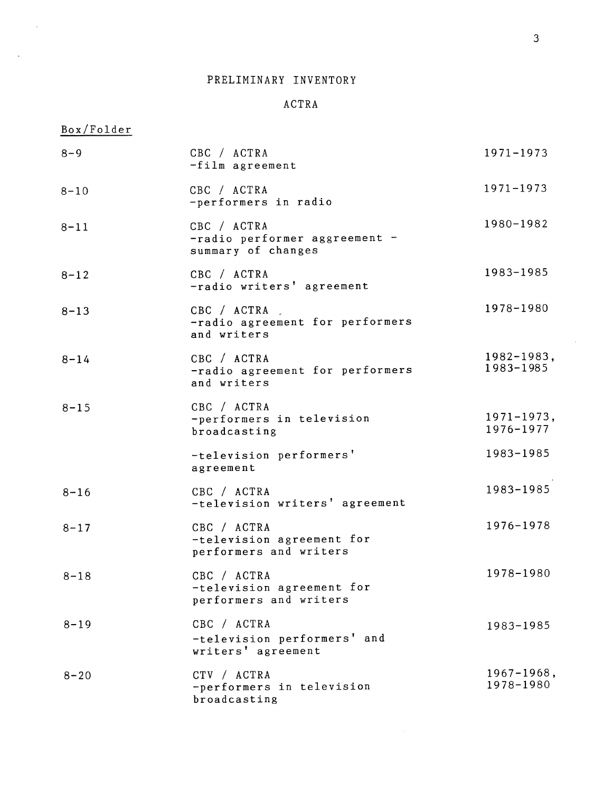#### ACTRA

## Box/Folder

| $8 - 9$  | CBC / ACTRA<br>$-film$ agreement                                   | $1971 - 1973$                |
|----------|--------------------------------------------------------------------|------------------------------|
| $8 - 10$ | CBC / ACTRA<br>-performers in radio                                | 1971-1973                    |
| $8 - 11$ | CBC / ACTRA<br>-radio performer aggreement -<br>summary of changes | 1980-1982                    |
| $8 - 12$ | CBC / ACTRA<br>-radio writers' agreement                           | 1983-1985                    |
| $8 - 13$ | CBC / ACTRA<br>-radio agreement for performers<br>and writers      | 1978-1980                    |
| $8 - 14$ | CBC / ACTRA<br>-radio agreement for performers<br>and writers      | $1982 - 1983,$<br>1983-1985  |
| $8 - 15$ | CBC / ACTRA<br>-performers in television<br>broadcasting           | $1971 - 1973$ ,<br>1976-1977 |
|          | -television performers'<br>agreement                               | 1983-1985                    |
| $8 - 16$ | CBC / ACTRA<br>-television writers' agreement                      | 1983-1985                    |
| $8 - 17$ | CBC / ACTRA<br>-television agreement for<br>performers and writers | 1976-1978                    |
| $8 - 18$ | CBC / ACTRA<br>-television agreement for<br>performers and writers | 1978-1980                    |
| $8 - 19$ | CBC / ACTRA<br>-television performers' and<br>writers' agreement   | 1983-1985                    |
| $8 - 20$ | CTV / ACTRA<br>-performers in television<br>broadcasting           | $1967 - 1968$ ,<br>1978-1980 |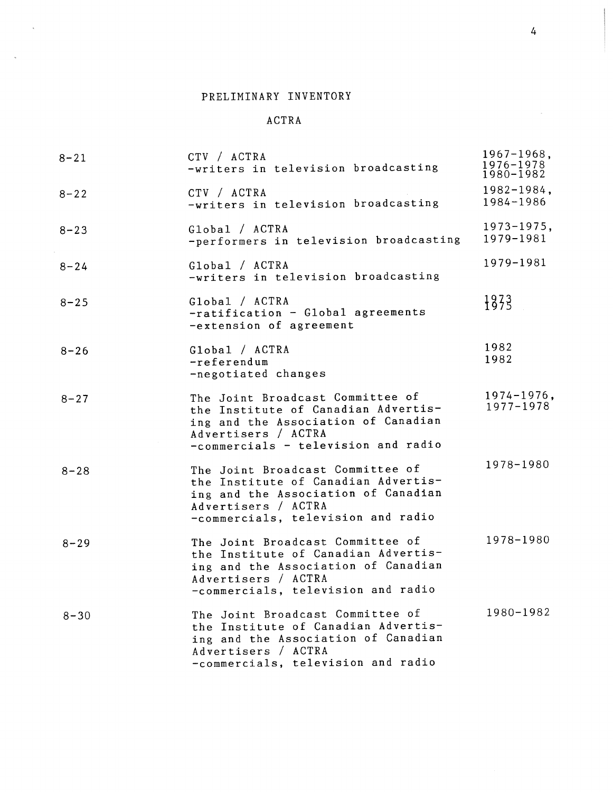$\mathbf{x}_i$ 

 $\sim$ 

#### ACTRA

| $8 - 21$ | CTV / ACTRA<br>-writers in television broadcasting                                                                                                                           | $1967 - 1968,$<br>$1976 - 1978$<br>1980-1982 |
|----------|------------------------------------------------------------------------------------------------------------------------------------------------------------------------------|----------------------------------------------|
| $8 - 22$ | CTV / ACTRA<br>-writers in television broadcasting                                                                                                                           | $1982 - 1984$ ,<br>1984-1986                 |
| $8 - 23$ | Global / ACTRA<br>-performers in television broadcasting                                                                                                                     | $1973 - 1975,$<br>1979-1981                  |
| $8 - 24$ | Global / ACTRA<br>-writers in television broadcasting                                                                                                                        | 1979-1981                                    |
| $8 - 25$ | Global / ACTRA<br>-ratification - Global agreements<br>-extension of agreement                                                                                               | 1873                                         |
| $8 - 26$ | Global / ACTRA<br>-referendum<br>-negotiated changes                                                                                                                         | 1982<br>1982                                 |
| $8 - 27$ | The Joint Broadcast Committee of<br>the Institute of Canadian Advertis-<br>ing and the Association of Canadian<br>Advertisers / ACTRA<br>-commercials - television and radio | $1974 - 1976$ ,<br>1977-1978                 |
| $8 - 28$ | The Joint Broadcast Committee of<br>the Institute of Canadian Advertis-<br>ing and the Association of Canadian<br>Advertisers / ACTRA<br>-commercials, television and radio  | 1978-1980                                    |
| $8 - 29$ | The Joint Broadcast Committee of<br>the Institute of Canadian Advertis-<br>ing and the Association of Canadian<br>Advertisers / ACTRA<br>-commercials, television and radio  | 1978-1980                                    |
| $8 - 30$ | The Joint Broadcast Committee of<br>the Institute of Canadian Advertis-<br>ing and the Association of Canadian<br>Advertisers / ACTRA<br>-commercials, television and radio  | 1980-1982                                    |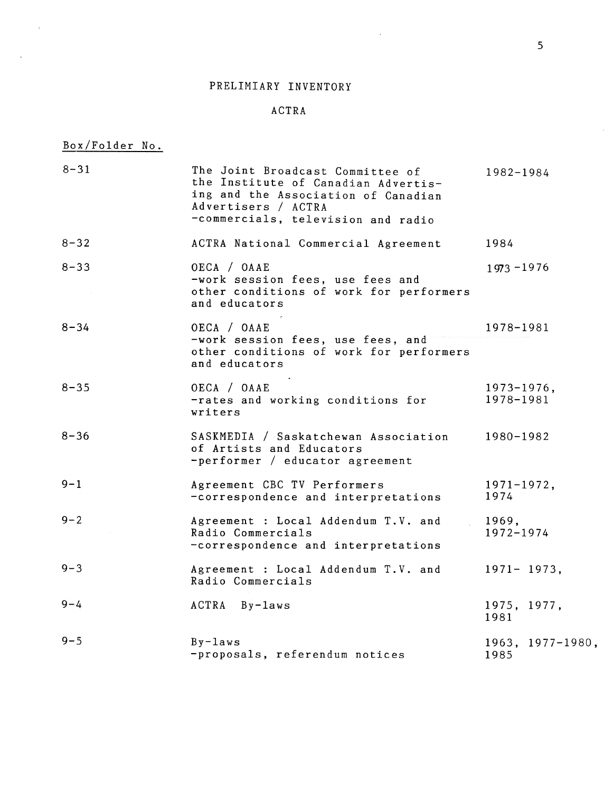#### ACTR A

 $\Delta \sim 10^4$ 

# Box/Folder No .

 $\mathcal{L}_{\mathcal{A}}$ 

 $\sim$ 

| $8 - 31$ | The Joint Broadcast Committee of<br>the Institute of Canadian Advertis-<br>ing and the Association of Canadian<br>Advertisers / ACTRA<br>-commercials, television and radio | 1982-1984                    |
|----------|-----------------------------------------------------------------------------------------------------------------------------------------------------------------------------|------------------------------|
| $8 - 32$ | ACTRA National Commercial Agreement                                                                                                                                         | 1984                         |
| $8 - 33$ | OECA / OAAE<br>-work session fees, use fees and<br>other conditions of work for performers<br>and educators                                                                 | $1973 - 1976$                |
| $8 - 34$ | OECA / OAAE<br>-work session fees, use fees, and<br>other conditions of work for performers<br>and educators                                                                | 1978-1981                    |
| $8 - 35$ | OECA / OAAE<br>-rates and working conditions for<br>writers                                                                                                                 | $1973 - 1976$ ,<br>1978-1981 |
| $8 - 36$ | SASKMEDIA / Saskatchewan Association<br>of Artists and Educators<br>-performer / educator agreement                                                                         | 1980-1982                    |
| $9 - 1$  | Agreement CBC TV Performers<br>-correspondence and interpretations                                                                                                          | $1971 - 1972$ ,<br>1974      |
| $9 - 2$  | Agreement : Local Addendum T.V. and<br>Radio Commercials<br>-correspondence and interpretations                                                                             | 1969,<br>1972-1974           |
| $9 - 3$  | Agreement : Local Addendum T.V. and<br>Radio Commercials                                                                                                                    | $1971 - 1973,$               |
| $9 - 4$  | ACTRA By-laws                                                                                                                                                               | 1975, 1977,<br>1981          |
| $9 - 5$  | $By - laws$<br>-proposals, referendum notices                                                                                                                               | $1963, 1977 - 1980,$<br>1985 |

 $\mathcal{A}$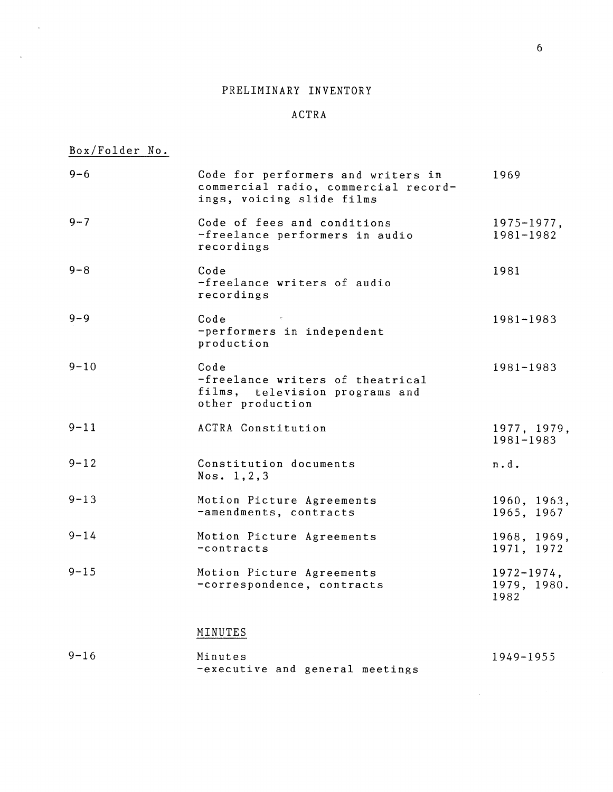#### ACTRA

## Box/Folder No.

 $\mathcal{A}^{\mathrm{c}}$  .

 $\bar{L}$ 

| $9 - 6$  | Code for performers and writers in<br>commercial radio, commercial record-<br>ings, voicing slide films | 1969                                   |
|----------|---------------------------------------------------------------------------------------------------------|----------------------------------------|
| $9 - 7$  | Code of fees and conditions<br>-freelance performers in audio<br>recordings                             | $1975 - 1977,$<br>1981-1982            |
| $9 - 8$  | Code<br>-freelance writers of audio<br>recordings                                                       | 1981                                   |
| $9 - 9$  | Code<br>-performers in independent<br>production                                                        | 1981-1983                              |
| $9 - 10$ | Code<br>-freelance writers of theatrical<br>films, television programs and<br>other production          | 1981-1983                              |
| $9 - 11$ | ACTRA Constitution                                                                                      | 1977, 1979,<br>1981-1983               |
| $9 - 12$ | Constitution documents<br>Nos. 1, 2, 3                                                                  | n.d.                                   |
| $9 - 13$ | Motion Picture Agreements<br>-amendments, contracts                                                     | 1960, 1963,<br>1965, 1967              |
| $9 - 14$ | Motion Picture Agreements<br>$-contracts$                                                               | 1968, 1969,<br>1971, 1972              |
| $9 - 15$ | Motion Picture Agreements<br>-correspondence, contracts                                                 | $1972 - 1974$ ,<br>1979, 1980.<br>1982 |
|          | MINUTES                                                                                                 |                                        |
| $9 - 16$ | Minutes                                                                                                 | 1949-1955                              |

-executive and general meetings

1949-1955

 $\mathcal{L}^{\text{max}}_{\text{max}}$  and  $\mathcal{L}^{\text{max}}_{\text{max}}$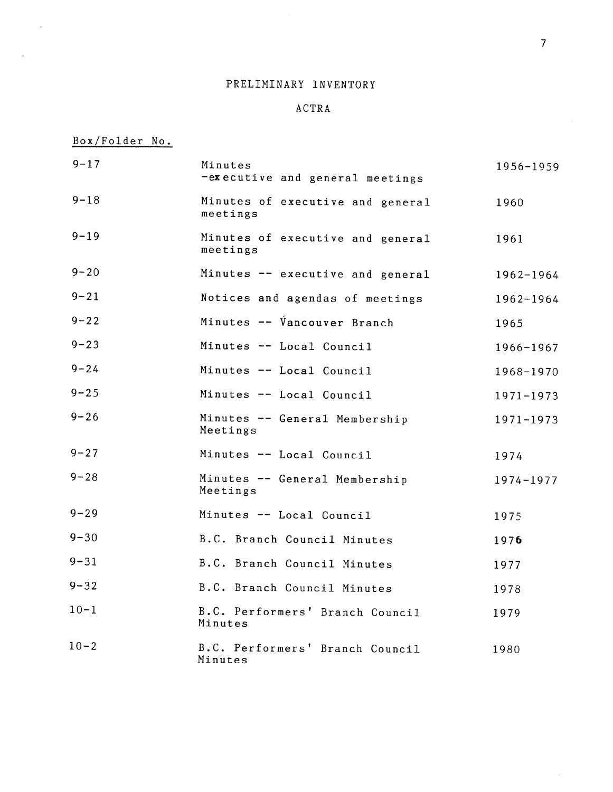## ACTRA

Box/Folder No .

 $\mathcal{L}^{\mathcal{L}}$ 

 $\mathbf{x}$ 

| $9 - 17$ | Minutes<br>-executive and general meetings   | 1956-1959     |
|----------|----------------------------------------------|---------------|
| $9 - 18$ | Minutes of executive and general<br>meetings | 1960          |
| $9 - 19$ | Minutes of executive and general<br>meetings | 1961          |
| $9 - 20$ | Minutes -- executive and general             | 1962-1964     |
| $9 - 21$ | Notices and agendas of meetings              | $1962 - 1964$ |
| $9 - 22$ | Minutes -- Vancouver Branch                  | 1965          |
| $9 - 23$ | Minutes -- Local Council                     | 1966-1967     |
| $9 - 24$ | Minutes -- Local Council                     | 1968-1970     |
| $9 - 25$ | Minutes -- Local Council                     | 1971-1973     |
| $9 - 26$ | Minutes -- General Membership<br>Meetings    | 1971-1973     |
| $9 - 27$ | Minutes -- Local Council                     | 1974          |
| $9 - 28$ | Minutes -- General Membership<br>Meetings    | 1974-1977     |
| $9 - 29$ | Minutes -- Local Council                     | 1975          |
| $9 - 30$ | B.C. Branch Council Minutes                  | 1976          |
| $9 - 31$ | B.C. Branch Council Minutes                  | 1977          |
| $9 - 32$ | B.C. Branch Council Minutes                  | 1978          |
| $10 - 1$ | B.C. Performers' Branch Council<br>Minutes   | 1979          |
| $10 - 2$ | B.C. Performers' Branch Council<br>Minutes   | 1980          |

 $\mathcal{L}$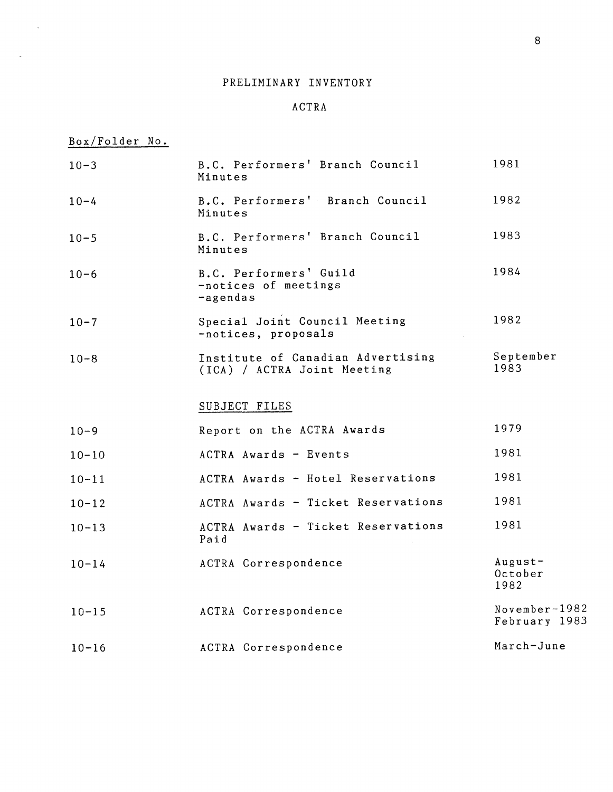#### ACTRA

Box/Folder No .

 $\mathcal{A}^{\text{max}}$ 

 $\sim$ 

| $10 - 3$  | B.C. Performers' Branch Council<br>Minutes                       | 1981                           |
|-----------|------------------------------------------------------------------|--------------------------------|
| $10 - 4$  | B.C. Performers' Branch Council<br>Minutes                       | 1982                           |
| $10 - 5$  | B.C. Performers' Branch Council<br>Minutes                       | 1983                           |
| $10 - 6$  | B.C. Performers' Guild<br>-notices of meetings<br>-agendas       | 1984                           |
| $10 - 7$  | Special Joint Council Meeting<br>-notices, proposals             | 1982                           |
| $10 - 8$  | Institute of Canadian Advertising<br>(ICA) / ACTRA Joint Meeting | September<br>1983              |
|           | SUBJECT FILES                                                    |                                |
| $10 - 9$  | Report on the ACTRA Awards                                       | 1979                           |
| $10 - 10$ | ACTRA Awards - Events                                            | 1981                           |
| $10 - 11$ | ACTRA Awards - Hotel Reservations                                | 1981                           |
| $10 - 12$ | ACTRA Awards - Ticket Reservations                               | 1981                           |
| $10 - 13$ | ACTRA Awards - Ticket Reservations<br>Paid                       | 1981                           |
| $10 - 14$ | ACTRA Correspondence                                             | $August -$<br>October<br>1982  |
| $10 - 15$ | ACTRA Correspondence                                             | November-1982<br>February 1983 |
| $10 - 16$ | ACTRA Correspondence                                             | March-June                     |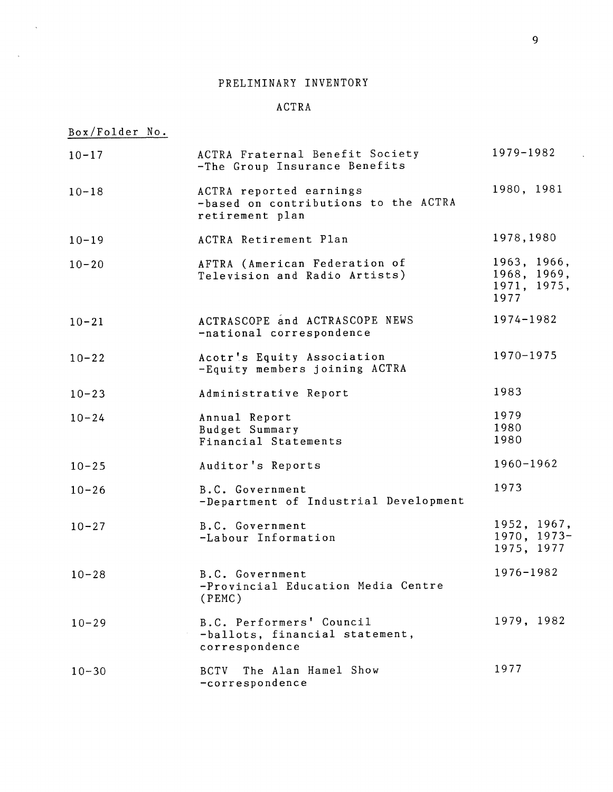## ACTR A

Box/Folder No .

 $\mathcal{L}^{\pm}$ 

 $\sim$   $\epsilon$ 

| $10 - 17$ | ACTRA Fraternal Benefit Society<br>-The Group Insurance Benefits                   | 1979-1982                                         |
|-----------|------------------------------------------------------------------------------------|---------------------------------------------------|
| $10 - 18$ | ACTRA reported earnings<br>-based on contributions to the ACTRA<br>retirement plan | 1980, 1981                                        |
| $10 - 19$ | ACTRA Retirement Plan                                                              | 1978, 1980                                        |
| $10 - 20$ | AFTRA (American Federation of<br>Television and Radio Artists)                     | 1963, 1966,<br>1968, 1969,<br>1971, 1975,<br>1977 |
| $10 - 21$ | ACTRASCOPE and ACTRASCOPE NEWS<br>-national correspondence                         | 1974-1982                                         |
| $10 - 22$ | Acotr's Equity Association<br>-Equity members joining ACTRA                        | 1970-1975                                         |
| $10 - 23$ | Administrative Report                                                              | 1983                                              |
| $10 - 24$ | Annual Report<br>Budget Summary<br>Financial Statements                            | 1979<br>1980<br>1980                              |
| $10 - 25$ | Auditor's Reports                                                                  | 1960-1962                                         |
| $10 - 26$ | B.C. Government<br>-Department of Industrial Development                           | 1973                                              |
| $10 - 27$ | B.C. Government<br>-Labour Information                                             | 1952, 1967,<br>1970, 1973-<br>1975, 1977          |
| $10 - 28$ | B.C. Government<br>-Provincial Education Media Centre<br>(PEMC)                    | 1976-1982                                         |
| $10 - 29$ | B.C. Performers' Council<br>-ballots, financial statement,<br>correspondence       | 1979, 1982                                        |
| $10 - 30$ | The Alan Hamel Show<br><b>BCTV</b><br>-correspondence                              | 1977                                              |

 $\hat{\mathbf{x}}$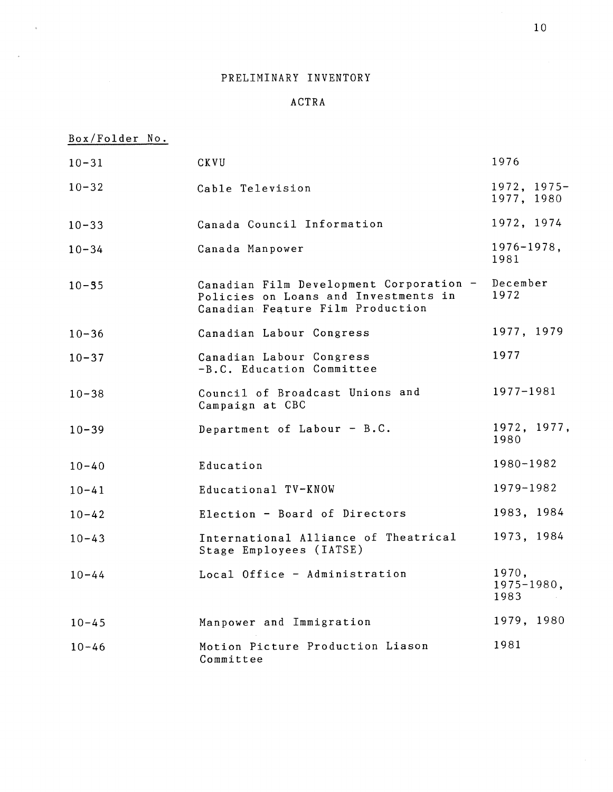## ACTRA

## Box/Folder No .

 $\bar{L}$ 

 $\sim$ 

| $10 - 31$ | CKVU                                                                                                                | 1976                            |
|-----------|---------------------------------------------------------------------------------------------------------------------|---------------------------------|
| $10 - 32$ | Cable Television                                                                                                    | $1972, 1975-$<br>1977, 1980     |
| $10 - 33$ | Canada Council Information                                                                                          | 1972, 1974                      |
| $10 - 34$ | Canada Manpower                                                                                                     | $1976 - 1978,$<br>1981          |
| $10 - 35$ | Canadian Film Development Corporation -<br>Policies on Loans and Investments in<br>Canadian Feature Film Production | December<br>1972                |
| $10 - 36$ | Canadian Labour Congress                                                                                            | 1977, 1979                      |
| $10 - 37$ | Canadian Labour Congress<br>-B.C. Education Committee                                                               | 1977                            |
| $10 - 38$ | Council of Broadcast Unions and<br>Campaign at CBC                                                                  | 1977-1981                       |
| $10 - 39$ | Department of Labour - B.C.                                                                                         | 1972, 1977,<br>1980             |
| $10 - 40$ | Education                                                                                                           | 1980-1982                       |
| $10 - 41$ | Educational TV-KNOW                                                                                                 | 1979-1982                       |
| $10 - 42$ | Election - Board of Directors                                                                                       | 1983, 1984                      |
| $10 - 43$ | International Alliance of Theatrical<br>Stage Employees (IATSE)                                                     | 1973, 1984                      |
| $10 - 44$ | Local Office - Administration                                                                                       | 1970,<br>$1975 - 1980,$<br>1983 |
| $10 - 45$ | Manpower and Immigration                                                                                            | 1979, 1980                      |
| $10 - 46$ | Motion Picture Production Liason<br>Committee                                                                       | 1981                            |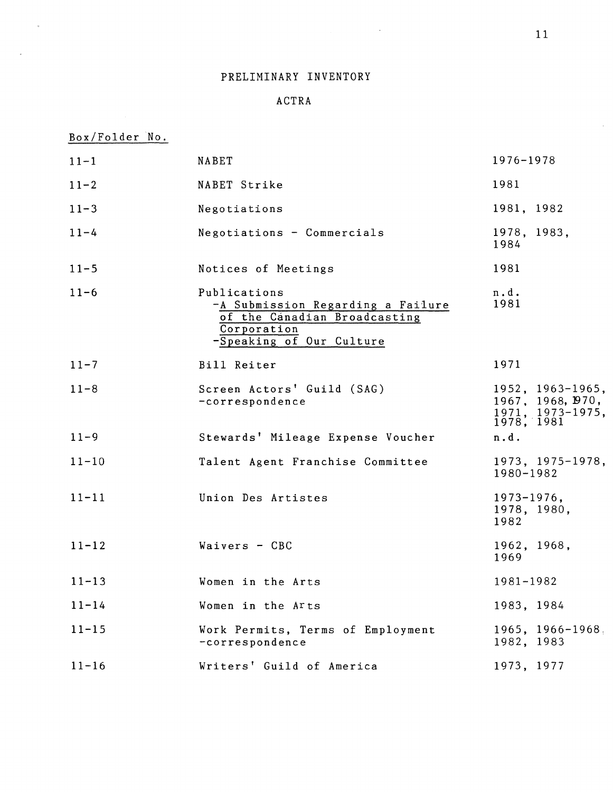$\mathcal{A}^{\mathcal{A}}$ 

## PRELIMINARY INVENTORY

 $\sim 100$ 

## ACTRA

## Box/Folder No .

 $\mathcal{L}_{\text{max}}$ 

 $\mathcal{L}_{\mathcal{R}}$ 

| $11 - 1$  | NABET                                                                                                                        | 1976-1978                                                                 |
|-----------|------------------------------------------------------------------------------------------------------------------------------|---------------------------------------------------------------------------|
| $11 - 2$  | NABET Strike                                                                                                                 | 1981                                                                      |
| $11 - 3$  | Negotiations                                                                                                                 | 1981, 1982                                                                |
| $11 - 4$  | Negotiations - Commercials                                                                                                   | 1978, 1983,<br>1984                                                       |
| $11 - 5$  | Notices of Meetings                                                                                                          | 1981                                                                      |
| $11 - 6$  | Publications<br>-A Submission Regarding a Failure<br>of the Canadian Broadcasting<br>Corporation<br>-Speaking of Our Culture | n.d.<br>1981                                                              |
| $11 - 7$  | Bill Reiter                                                                                                                  | 1971                                                                      |
| $11 - 8$  | Screen Actors' Guild (SAG)<br>-correspondence                                                                                | 1952, 1963-1965,<br>1967, 1968, 1970,<br>$1971, 1973-1975,$<br>1978, 1981 |
| $11 - 9$  | Stewards' Mileage Expense Voucher                                                                                            | n.d.                                                                      |
| $11 - 10$ | Talent Agent Franchise Committee                                                                                             | $1973, 1975 - 1978,$<br>1980-1982                                         |
| $11 - 11$ | Union Des Artistes                                                                                                           | $1973 - 1976$ ,<br>1978, 1980,<br>1982                                    |
| $11 - 12$ | Waivers - CBC                                                                                                                | 1962, 1968,<br>1969                                                       |
| $11 - 13$ | Women in the Arts                                                                                                            | 1981-1982                                                                 |
| $11 - 14$ | Women in the Arts                                                                                                            | 1983, 1984                                                                |
| $11 - 15$ | Work Permits, Terms of Employment<br>-correspondence                                                                         | $1965, 1966 - 1968$<br>1982, 1983                                         |
| $11 - 16$ | Writers' Guild of America                                                                                                    | 1973, 1977                                                                |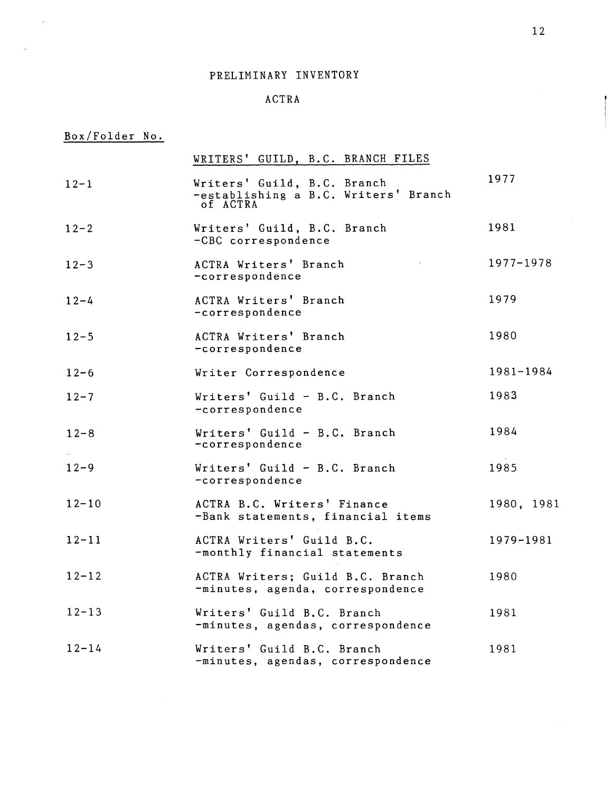#### ACTR A

# Box/Folder No.

 $\epsilon$ 

|           | WRITERS' GUILD, B.C. BRANCH FILES                                               |            |
|-----------|---------------------------------------------------------------------------------|------------|
| $12 - 1$  | Writers' Guild, B.C. Branch<br>-establishing a B.C. Writers' Branch<br>of ACTRA | 1977       |
| $12 - 2$  | Writers' Guild, B.C. Branch<br>-CBC correspondence                              | 1981       |
| $12 - 3$  | ACTRA Writers' Branch<br>-correspondence                                        | 1977-1978  |
| $12 - 4$  | ACTRA Writers' Branch<br>-correspondence                                        | 1979       |
| $12 - 5$  | ACTRA Writers' Branch<br>-correspondence                                        | 1980       |
| $12 - 6$  | Writer Correspondence                                                           | 1981-1984  |
| $12 - 7$  | Writers' Guild - B.C. Branch<br>-correspondence                                 | 1983       |
| $12 - 8$  | Writers' Guild - B.C. Branch<br>-correspondence                                 | 1984       |
| $12 - 9$  | Writers' Guild - B.C. Branch<br>-correspondence                                 | 1985       |
| $12 - 10$ | ACTRA B.C. Writers' Finance<br>-Bank statements, financial items                | 1980, 1981 |
| $12 - 11$ | ACTRA Writers' Guild B.C.<br>-monthly financial statements                      | 1979-1981  |
| $12 - 12$ | ACTRA Writers; Guild B.C. Branch<br>-minutes, agenda, correspondence            | 1980       |
| $12 - 13$ | Writers' Guild B.C. Branch<br>-minutes, agendas, correspondence                 | 1981       |
| $12 - 14$ | Writers' Guild B.C. Branch<br>-minutes, agendas, correspondence                 | 1981       |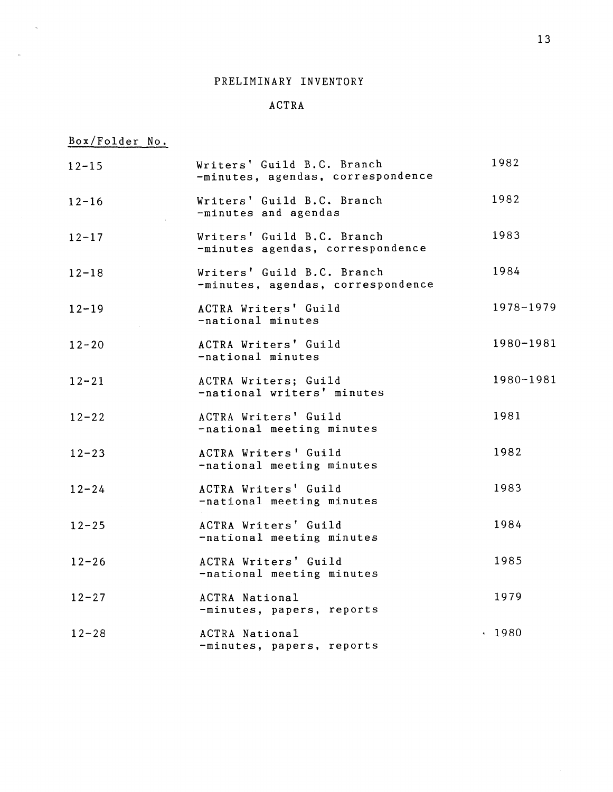## ACTR A

Box/Folder No .

 $\epsilon$ 

 $\sim$   $\alpha$ 

| $12 - 15$ | Writers' Guild B.C. Branch<br>-minutes, agendas, correspondence | 1982      |
|-----------|-----------------------------------------------------------------|-----------|
| $12 - 16$ | Writers' Guild B.C. Branch<br>-minutes and agendas              | 1982      |
| $12 - 17$ | Writers' Guild B.C. Branch<br>-minutes agendas, correspondence  | 1983      |
| $12 - 18$ | Writers' Guild B.C. Branch<br>-minutes, agendas, correspondence | 1984      |
| $12 - 19$ | ACTRA Writers' Guild<br>-national minutes                       | 1978-1979 |
| $12 - 20$ | ACTRA Writers' Guild<br>-national minutes                       | 1980-1981 |
| $12 - 21$ | ACTRA Writers; Guild<br>-national writers' minutes              | 1980-1981 |
| $12 - 22$ | ACTRA Writers' Guild<br>-national meeting minutes               | 1981      |
| $12 - 23$ | ACTRA Writers' Guild<br>-national meeting minutes               | 1982      |
| $12 - 24$ | ACTRA Writers' Guild<br>-national meeting minutes               | 1983      |
| $12 - 25$ | ACTRA Writers' Guild<br>-national meeting minutes               | 1984      |
| $12 - 26$ | ACTRA Writers' Guild<br>-national meeting minutes               | 1985      |
| $12 - 27$ | ACTRA National<br>-minutes, papers, reports                     | 1979      |
| $12 - 28$ | ACTRA National<br>-minutes, papers, reports                     | . 1980    |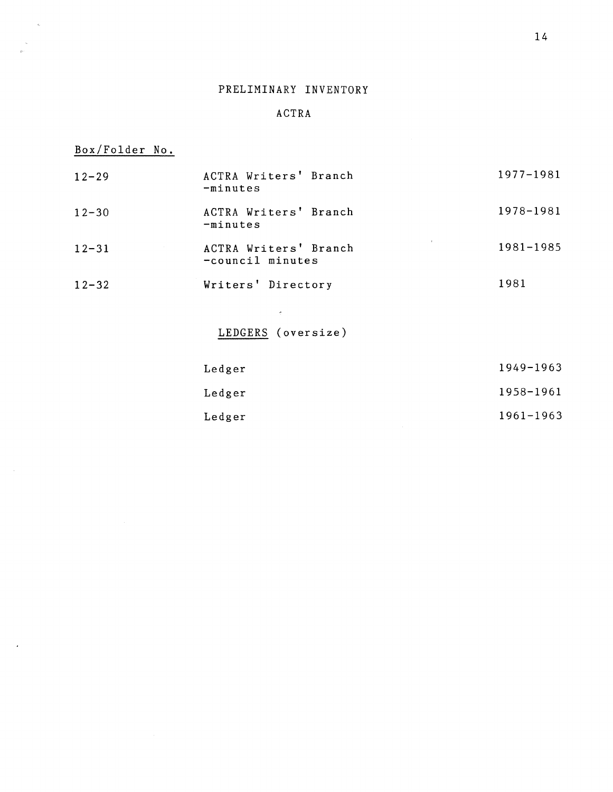## ACTR A

# Box/Folder No .

 $\hat{\zeta}$ 

 $\mathcal{A}$ 

| $12 - 29$ | ACTRA Writers' Branch<br>$-minutes$       | 1977-1981 |
|-----------|-------------------------------------------|-----------|
| $12 - 30$ | ACTRA Writers' Branch<br>$-minutes$       | 1978-1981 |
| $12 - 31$ | ACTRA Writers' Branch<br>-council minutes | 1981-1985 |
| $12 - 32$ | Writers' Directory                        | 1981      |
|           | $\hat{\gamma}$                            |           |
|           | LEDGERS (oversize)                        |           |
|           | Ledger                                    | 1949-1963 |
|           | Ledger                                    | 1958-1961 |
|           | Ledger                                    | 1961-1963 |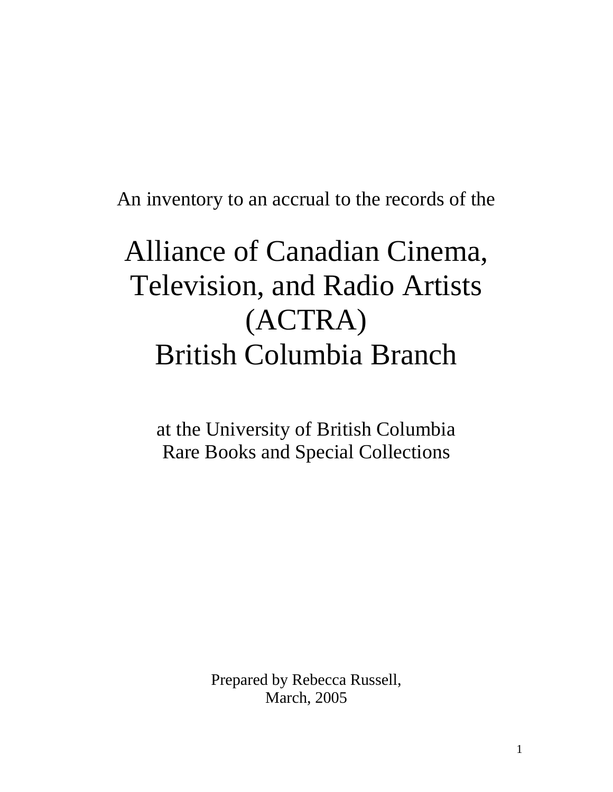An inventory to an accrual to the records of the

# Alliance of Canadian Cinema, Television, and Radio Artists (ACTRA) British Columbia Branch

at the University of British Columbia Rare Books and Special Collections

> Prepared by Rebecca Russell, March, 2005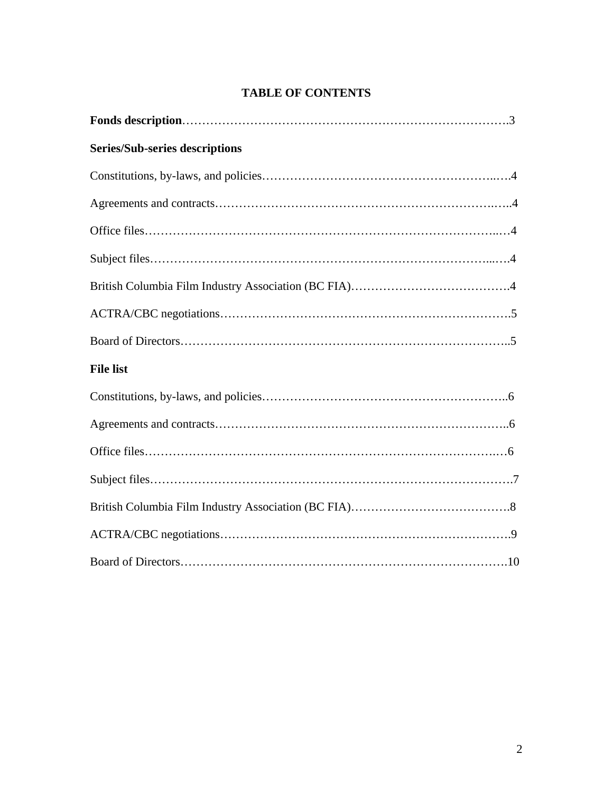## **TABLE OF CONTENTS**

| <b>Series/Sub-series descriptions</b> |  |  |  |
|---------------------------------------|--|--|--|
|                                       |  |  |  |
|                                       |  |  |  |
|                                       |  |  |  |
|                                       |  |  |  |
|                                       |  |  |  |
|                                       |  |  |  |
|                                       |  |  |  |
| <b>File list</b>                      |  |  |  |
|                                       |  |  |  |
|                                       |  |  |  |
|                                       |  |  |  |
|                                       |  |  |  |
|                                       |  |  |  |
|                                       |  |  |  |
|                                       |  |  |  |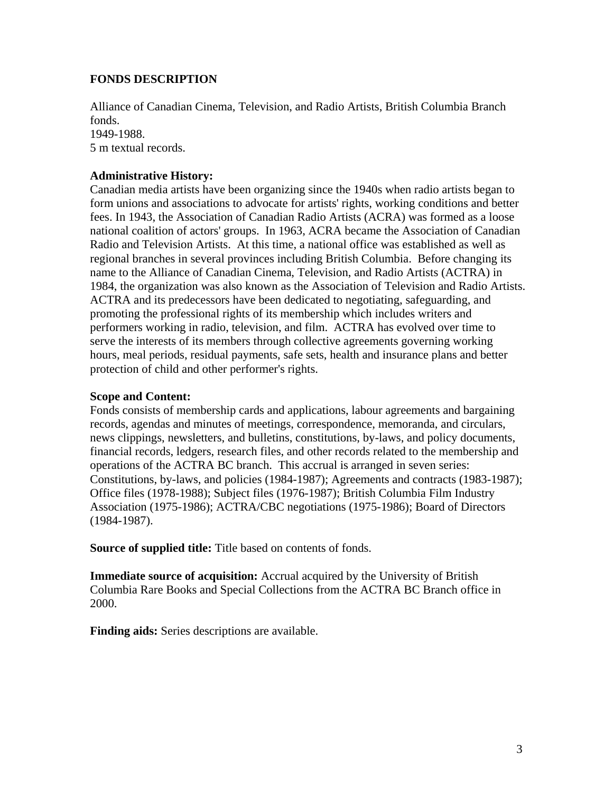## **FONDS DESCRIPTION**

Alliance of Canadian Cinema, Television, and Radio Artists, British Columbia Branch fonds. 1949-1988. 5 m textual records.

## **Administrative History:**

Canadian media artists have been organizing since the 1940s when radio artists began to form unions and associations to advocate for artists' rights, working conditions and better fees. In 1943, the Association of Canadian Radio Artists (ACRA) was formed as a loose national coalition of actors' groups. In 1963, ACRA became the Association of Canadian Radio and Television Artists. At this time, a national office was established as well as regional branches in several provinces including British Columbia. Before changing its name to the Alliance of Canadian Cinema, Television, and Radio Artists (ACTRA) in 1984, the organization was also known as the Association of Television and Radio Artists. ACTRA and its predecessors have been dedicated to negotiating, safeguarding, and promoting the professional rights of its membership which includes writers and performers working in radio, television, and film. ACTRA has evolved over time to serve the interests of its members through collective agreements governing working hours, meal periods, residual payments, safe sets, health and insurance plans and better protection of child and other performer's rights.

#### **Scope and Content:**

Fonds consists of membership cards and applications, labour agreements and bargaining records, agendas and minutes of meetings, correspondence, memoranda, and circulars, news clippings, newsletters, and bulletins, constitutions, by-laws, and policy documents, financial records, ledgers, research files, and other records related to the membership and operations of the ACTRA BC branch. This accrual is arranged in seven series: Constitutions, by-laws, and policies (1984-1987); Agreements and contracts (1983-1987); Office files (1978-1988); Subject files (1976-1987); British Columbia Film Industry Association (1975-1986); ACTRA/CBC negotiations (1975-1986); Board of Directors (1984-1987).

**Source of supplied title:** Title based on contents of fonds.

**Immediate source of acquisition:** Accrual acquired by the University of British Columbia Rare Books and Special Collections from the ACTRA BC Branch office in 2000.

**Finding aids:** Series descriptions are available.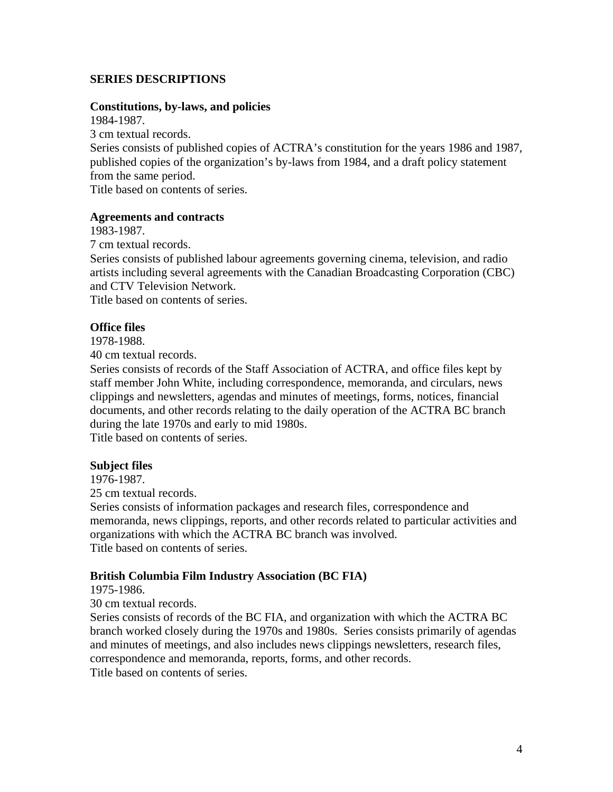## **SERIES DESCRIPTIONS**

#### **Constitutions, by-laws, and policies**

1984-1987. 3 cm textual records. Series consists of published copies of ACTRA's constitution for the years 1986 and 1987, published copies of the organization's by-laws from 1984, and a draft policy statement from the same period. Title based on contents of series.

#### **Agreements and contracts**

1983-1987.

7 cm textual records.

Series consists of published labour agreements governing cinema, television, and radio artists including several agreements with the Canadian Broadcasting Corporation (CBC) and CTV Television Network.

Title based on contents of series.

#### **Office files**

1978-1988.

40 cm textual records.

Series consists of records of the Staff Association of ACTRA, and office files kept by staff member John White, including correspondence, memoranda, and circulars, news clippings and newsletters, agendas and minutes of meetings, forms, notices, financial documents, and other records relating to the daily operation of the ACTRA BC branch during the late 1970s and early to mid 1980s.

Title based on contents of series.

#### **Subject files**

1976-1987.

25 cm textual records.

Series consists of information packages and research files, correspondence and memoranda, news clippings, reports, and other records related to particular activities and organizations with which the ACTRA BC branch was involved. Title based on contents of series.

#### **British Columbia Film Industry Association (BC FIA)**

1975-1986.

30 cm textual records.

Series consists of records of the BC FIA, and organization with which the ACTRA BC branch worked closely during the 1970s and 1980s. Series consists primarily of agendas and minutes of meetings, and also includes news clippings newsletters, research files, correspondence and memoranda, reports, forms, and other records.

Title based on contents of series.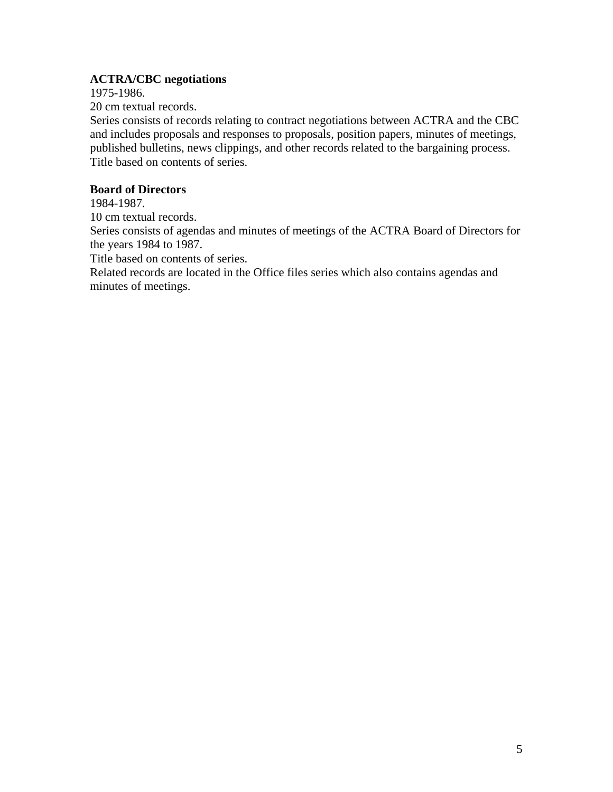## **ACTRA/CBC negotiations**

1975-1986.

20 cm textual records.

Series consists of records relating to contract negotiations between ACTRA and the CBC and includes proposals and responses to proposals, position papers, minutes of meetings, published bulletins, news clippings, and other records related to the bargaining process. Title based on contents of series.

## **Board of Directors**

1984-1987.

10 cm textual records.

Series consists of agendas and minutes of meetings of the ACTRA Board of Directors for the years 1984 to 1987.

Title based on contents of series.

Related records are located in the Office files series which also contains agendas and minutes of meetings.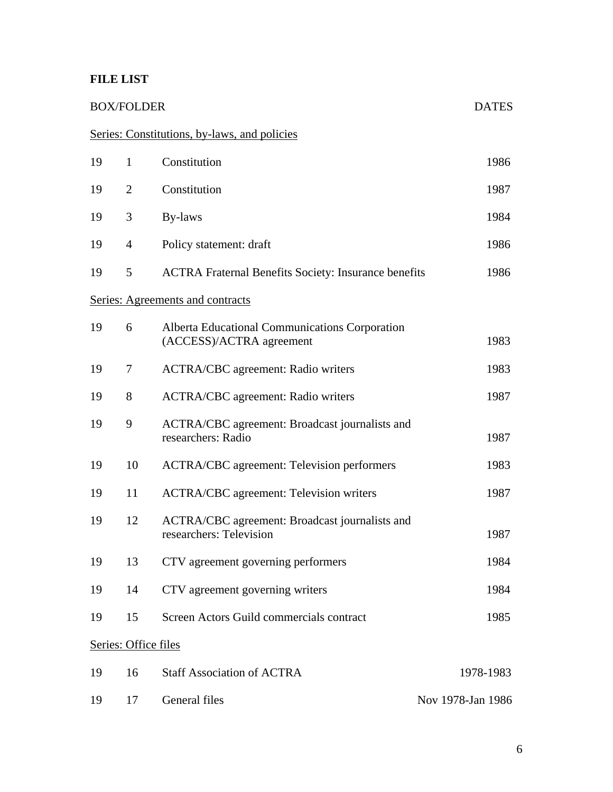## **FILE LIST**

## BOX/FOLDER DATES

# Series: Constitutions, by-laws, and policies

| 19 | $\mathbf{1}$         | Constitution                                                               | 1986      |  |
|----|----------------------|----------------------------------------------------------------------------|-----------|--|
| 19 | $\overline{2}$       | Constitution                                                               | 1987      |  |
| 19 | 3                    | By-laws                                                                    | 1984      |  |
| 19 | $\overline{4}$       | Policy statement: draft                                                    | 1986      |  |
| 19 | 5                    | <b>ACTRA Fraternal Benefits Society: Insurance benefits</b>                |           |  |
|    |                      | Series: Agreements and contracts                                           |           |  |
| 19 | 6                    | Alberta Educational Communications Corporation<br>(ACCESS)/ACTRA agreement | 1983      |  |
| 19 | 7                    | <b>ACTRA/CBC</b> agreement: Radio writers                                  | 1983      |  |
| 19 | 8                    | <b>ACTRA/CBC</b> agreement: Radio writers                                  | 1987      |  |
| 19 | 9                    | ACTRA/CBC agreement: Broadcast journalists and<br>researchers: Radio       | 1987      |  |
| 19 | 10                   | <b>ACTRA/CBC</b> agreement: Television performers                          | 1983      |  |
| 19 | 11                   | <b>ACTRA/CBC</b> agreement: Television writers                             | 1987      |  |
| 19 | 12                   | ACTRA/CBC agreement: Broadcast journalists and<br>researchers: Television  | 1987      |  |
| 19 | 13                   | CTV agreement governing performers                                         | 1984      |  |
| 19 | 14                   | CTV agreement governing writers                                            | 1984      |  |
| 19 | 15                   | Screen Actors Guild commercials contract                                   | 1985      |  |
|    | Series: Office files |                                                                            |           |  |
| 19 | 16                   | <b>Staff Association of ACTRA</b>                                          | 1978-1983 |  |

19 17 General files Nov 1978-Jan 1986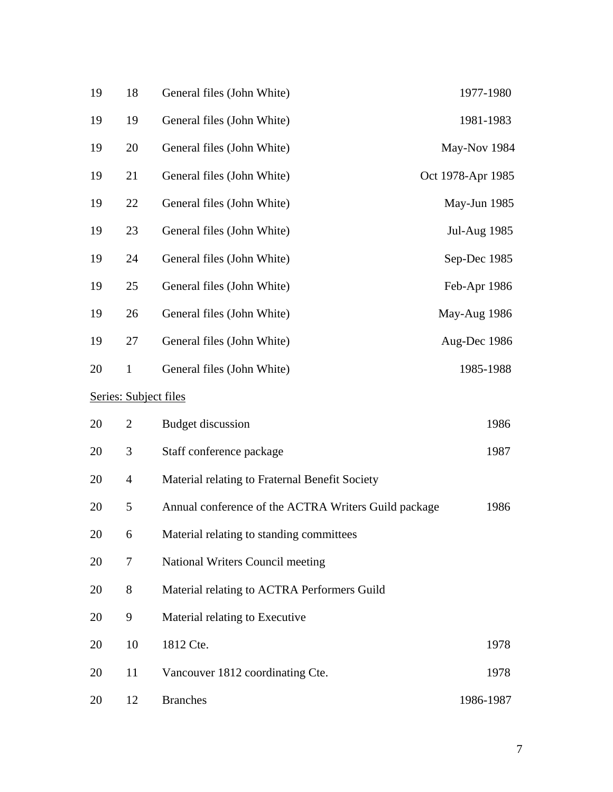| 19 | 18             | General files (John White)                           | 1977-1980           |
|----|----------------|------------------------------------------------------|---------------------|
| 19 | 19             | General files (John White)                           | 1981-1983           |
| 19 | 20             | General files (John White)                           | May-Nov 1984        |
| 19 | 21             | General files (John White)                           | Oct 1978-Apr 1985   |
| 19 | 22             | General files (John White)                           | May-Jun 1985        |
| 19 | 23             | General files (John White)                           | <b>Jul-Aug 1985</b> |
| 19 | 24             | General files (John White)                           | Sep-Dec 1985        |
| 19 | 25             | General files (John White)                           | Feb-Apr 1986        |
| 19 | 26             | General files (John White)                           | May-Aug 1986        |
| 19 | 27             | General files (John White)                           | Aug-Dec 1986        |
| 20 | $\mathbf{1}$   | General files (John White)                           | 1985-1988           |
|    |                | <b>Series: Subject files</b>                         |                     |
| 20 | $\overline{2}$ | <b>Budget discussion</b>                             | 1986                |
| 20 | 3              | Staff conference package                             | 1987                |
| 20 | $\overline{4}$ | Material relating to Fraternal Benefit Society       |                     |
| 20 | 5              | Annual conference of the ACTRA Writers Guild package | 1986                |
| 20 | 6              | Material relating to standing committees             |                     |
| 20 | 7              | <b>National Writers Council meeting</b>              |                     |
| 20 | 8              | Material relating to ACTRA Performers Guild          |                     |
| 20 | 9              | Material relating to Executive                       |                     |
| 20 | 10             | 1812 Cte.                                            | 1978                |
| 20 | 11             | Vancouver 1812 coordinating Cte.                     | 1978                |
| 20 | 12             | <b>Branches</b>                                      | 1986-1987           |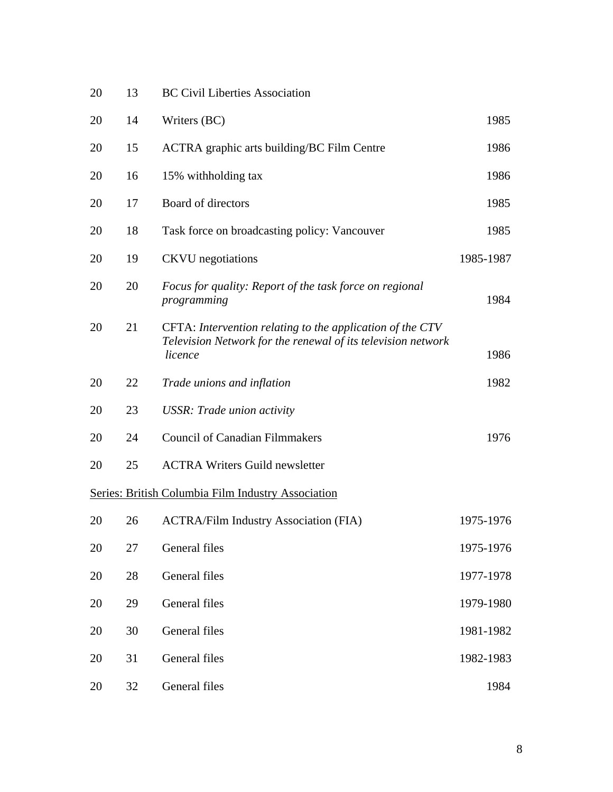| 20 | 13 | <b>BC Civil Liberties Association</b>                                                                                                |           |  |
|----|----|--------------------------------------------------------------------------------------------------------------------------------------|-----------|--|
| 20 | 14 | Writers (BC)                                                                                                                         | 1985      |  |
| 20 | 15 | <b>ACTRA</b> graphic arts building/BC Film Centre                                                                                    | 1986      |  |
| 20 | 16 | 15% withholding tax                                                                                                                  |           |  |
| 20 | 17 | Board of directors                                                                                                                   |           |  |
| 20 | 18 | 1985<br>Task force on broadcasting policy: Vancouver                                                                                 |           |  |
| 20 | 19 | 1985-1987<br><b>CKVU</b> negotiations                                                                                                |           |  |
| 20 | 20 | Focus for quality: Report of the task force on regional<br>programming                                                               | 1984      |  |
| 20 | 21 | CFTA: Intervention relating to the application of the CTV<br>Television Network for the renewal of its television network<br>licence | 1986      |  |
| 20 | 22 | Trade unions and inflation                                                                                                           | 1982      |  |
| 20 | 23 | <b>USSR: Trade union activity</b>                                                                                                    |           |  |
| 20 | 24 | <b>Council of Canadian Filmmakers</b>                                                                                                | 1976      |  |
| 20 | 25 | <b>ACTRA Writers Guild newsletter</b>                                                                                                |           |  |
|    |    | Series: British Columbia Film Industry Association                                                                                   |           |  |
| 20 | 26 | <b>ACTRA/Film Industry Association (FIA)</b>                                                                                         | 1975-1976 |  |
| 20 | 27 | General files                                                                                                                        | 1975-1976 |  |
| 20 | 28 | General files                                                                                                                        | 1977-1978 |  |
| 20 | 29 | General files                                                                                                                        | 1979-1980 |  |
| 20 | 30 | General files                                                                                                                        | 1981-1982 |  |
| 20 | 31 | General files                                                                                                                        | 1982-1983 |  |
| 20 | 32 | General files                                                                                                                        | 1984      |  |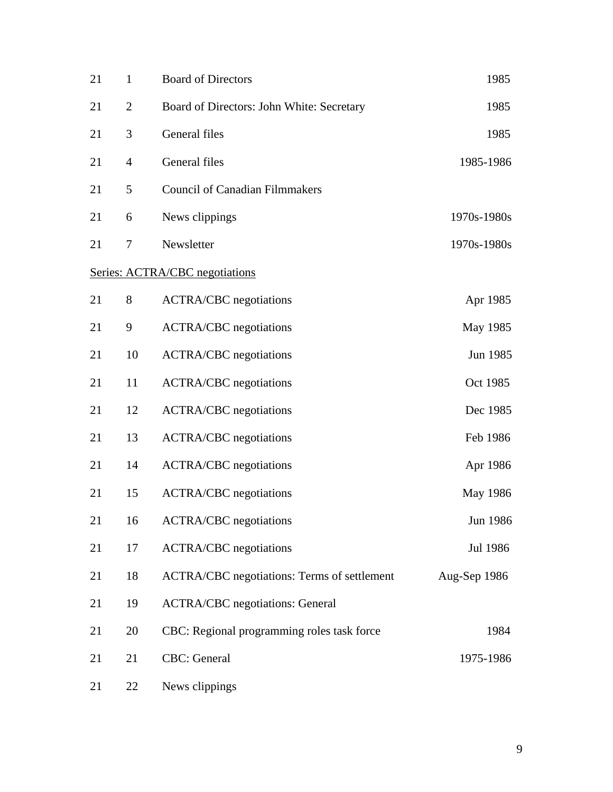| 21 | $\mathbf{1}$   | <b>Board of Directors</b><br>1985                 |              |  |  |
|----|----------------|---------------------------------------------------|--------------|--|--|
| 21 | $\overline{2}$ | 1985<br>Board of Directors: John White: Secretary |              |  |  |
| 21 | 3              | General files<br>1985                             |              |  |  |
| 21 | $\overline{4}$ | General files<br>1985-1986                        |              |  |  |
| 21 | 5              | <b>Council of Canadian Filmmakers</b>             |              |  |  |
| 21 | 6              | News clippings<br>1970s-1980s                     |              |  |  |
| 21 | $\tau$         | Newsletter<br>1970s-1980s                         |              |  |  |
|    |                | Series: ACTRA/CBC negotiations                    |              |  |  |
| 21 | 8              | <b>ACTRA/CBC</b> negotiations                     | Apr 1985     |  |  |
| 21 | 9              | <b>ACTRA/CBC</b> negotiations                     | May 1985     |  |  |
| 21 | 10             | <b>ACTRA/CBC</b> negotiations                     | Jun 1985     |  |  |
| 21 | 11             | <b>ACTRA/CBC</b> negotiations                     | Oct 1985     |  |  |
| 21 | 12             | <b>ACTRA/CBC</b> negotiations                     | Dec 1985     |  |  |
| 21 | 13             | <b>ACTRA/CBC</b> negotiations                     | Feb 1986     |  |  |
| 21 | 14             | <b>ACTRA/CBC</b> negotiations                     | Apr 1986     |  |  |
| 21 | 15             | <b>ACTRA/CBC</b> negotiations                     | May 1986     |  |  |
| 21 | 16             | <b>ACTRA/CBC</b> negotiations                     | Jun 1986     |  |  |
| 21 | 17             | <b>ACTRA/CBC</b> negotiations                     | Jul 1986     |  |  |
| 21 | 18             | ACTRA/CBC negotiations: Terms of settlement       | Aug-Sep 1986 |  |  |
| 21 | 19             | <b>ACTRA/CBC</b> negotiations: General            |              |  |  |
| 21 | 20             | CBC: Regional programming roles task force        | 1984         |  |  |
| 21 | 21             | <b>CBC:</b> General                               | 1975-1986    |  |  |
| 21 | 22             | News clippings                                    |              |  |  |